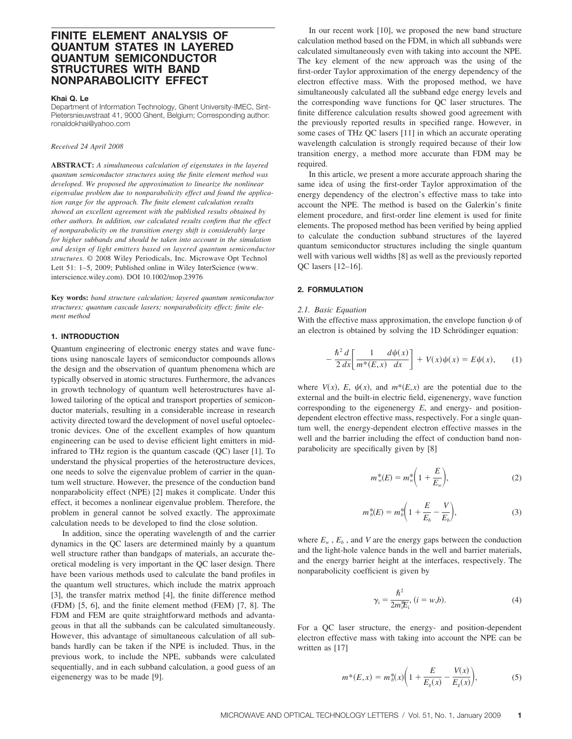# **FINITE ELEMENT ANALYSIS OF QUANTUM STATES IN LAYERED QUANTUM SEMICONDUCTOR STRUCTURES WITH BAND NONPARABOLICITY EFFECT**

#### **Khai Q. Le**

Department of Information Technology, Ghent University-IMEC, Sint-Pietersnieuwstraat 41, 9000 Ghent, Belgium; Corresponding author: ronaldokhai@yahoo.com

#### *Received 24 April 2008*

**ABSTRACT:** *A simultaneous calculation of eigenstates in the layered quantum semiconductor structures using the finite element method was developed. We proposed the approximation to linearize the nonlinear eigenvalue problem due to nonparabolicity effect and found the application range for the approach. The finite element calculation results showed an excellent agreement with the published results obtained by other authors. In addition, our calculated results confirm that the effect of nonparabolicity on the transition energy shift is considerably large for higher subbands and should be taken into account in the simulation and design of light emitters based on layered quantum semiconductor structures.* © 2008 Wiley Periodicals, Inc. Microwave Opt Technol Lett 51: 1-5, 2009; Published online in Wiley InterScience (www. interscience.wiley.com). DOI 10.1002/mop.23976

**Key words:** *band structure calculation; layered quantum semiconductor structures; quantum cascade lasers; nonparabolicity effect; finite element method*

### **1. INTRODUCTION**

Quantum engineering of electronic energy states and wave functions using nanoscale layers of semiconductor compounds allows the design and the observation of quantum phenomena which are typically observed in atomic structures. Furthermore, the advances in growth technology of quantum well heterostructures have allowed tailoring of the optical and transport properties of semiconductor materials, resulting in a considerable increase in research activity directed toward the development of novel useful optoelectronic devices. One of the excellent examples of how quantum engineering can be used to devise efficient light emitters in midinfrared to THz region is the quantum cascade (QC) laser [1]. To understand the physical properties of the heterostructure devices, one needs to solve the eigenvalue problem of carrier in the quantum well structure. However, the presence of the conduction band nonparabolicity effect (NPE) [2] makes it complicate. Under this effect, it becomes a nonlinear eigenvalue problem. Therefore, the problem in general cannot be solved exactly. The approximate calculation needs to be developed to find the close solution.

In addition, since the operating wavelength of and the carrier dynamics in the QC lasers are determined mainly by a quantum well structure rather than bandgaps of materials, an accurate theoretical modeling is very important in the QC laser design. There have been various methods used to calculate the band profiles in the quantum well structures, which include the matrix approach [3], the transfer matrix method [4], the finite difference method (FDM) [5, 6], and the finite element method (FEM) [7, 8]. The FDM and FEM are quite straightforward methods and advantageous in that all the subbands can be calculated simultaneously. However, this advantage of simultaneous calculation of all subbands hardly can be taken if the NPE is included. Thus, in the previous work, to include the NPE, subbands were calculated sequentially, and in each subband calculation, a good guess of an eigenenergy was to be made [9].

In our recent work [10], we proposed the new band structure calculation method based on the FDM, in which all subbands were calculated simultaneously even with taking into account the NPE. The key element of the new approach was the using of the first-order Taylor approximation of the energy dependency of the electron effective mass. With the proposed method, we have simultaneously calculated all the subband edge energy levels and the corresponding wave functions for QC laser structures. The finite difference calculation results showed good agreement with the previously reported results in specified range. However, in some cases of THz QC lasers [11] in which an accurate operating wavelength calculation is strongly required because of their low transition energy, a method more accurate than FDM may be required.

In this article, we present a more accurate approach sharing the same idea of using the first-order Taylor approximation of the energy dependency of the electron's effective mass to take into account the NPE. The method is based on the Galerkin's finite element procedure, and first-order line element is used for finite elements. The proposed method has been verified by being applied to calculate the conduction subband structures of the layered quantum semiconductor structures including the single quantum well with various well widths [8] as well as the previously reported QC lasers [12–16].

## **2. FORMULATION**

### *2.1. Basic Equation*

With the effective mass approximation, the envelope function  $\psi$  of an electron is obtained by solving the 1D Schrödinger equation:

$$
-\frac{\hbar^2 d}{2 dx}\left[\frac{1}{m^*(E,x)}\frac{d\psi(x)}{dx}\right] + V(x)\psi(x) = E\psi(x),\qquad(1)
$$

where  $V(x)$ , *E*,  $\psi(x)$ , and  $m^*(E,x)$  are the potential due to the external and the built-in electric field, eigenenergy, wave function corresponding to the eigenenergy *E*, and energy- and positiondependent electron effective mass, respectively. For a single quantum well, the energy-dependent electron effective masses in the well and the barrier including the effect of conduction band nonparabolicity are specifically given by [8]

$$
m_w^*(E) = m_w^* \left( 1 + \frac{E}{E_w} \right),\tag{2}
$$

$$
m_b^*(E) = m_b^*\left(1 + \frac{E}{E_b} - \frac{V}{E_b}\right),\tag{3}
$$

where  $E_w$ ,  $E_b$ , and *V* are the energy gaps between the conduction and the light-hole valence bands in the well and barrier materials, and the energy barrier height at the interfaces, respectively. The nonparabolicity coefficient is given by

$$
\gamma_i = \frac{\hbar^2}{2m_i^*E_i}, (i = w, b). \tag{4}
$$

For a QC laser structure, the energy- and position-dependent electron effective mass with taking into account the NPE can be written as [17]

$$
m^*(E, x) = m^*_b(x) \bigg( 1 + \frac{E}{E_s(x)} - \frac{V(x)}{E_s(x)} \bigg),
$$
 (5)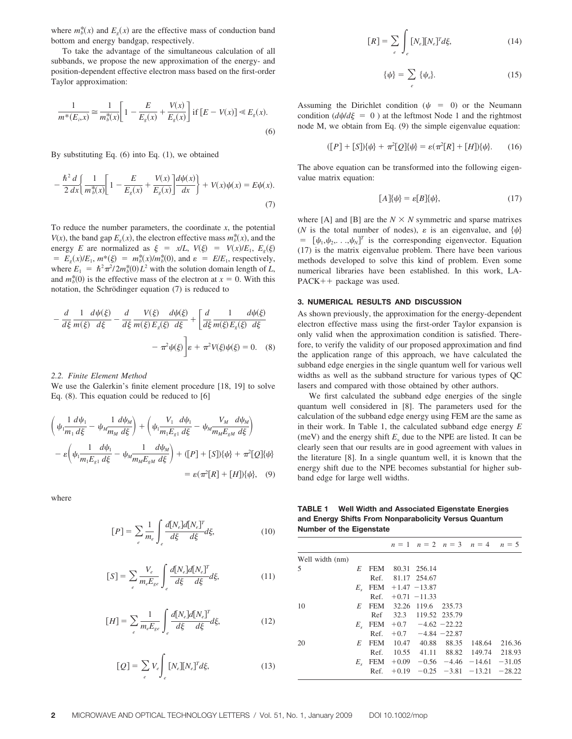where  $m_b^*(x)$  and  $E_g(x)$  are the effective mass of conduction band bottom and energy bandgap, respectively.

To take the advantage of the simultaneous calculation of all subbands, we propose the new approximation of the energy- and position-dependent effective electron mass based on the first-order Taylor approximation:

$$
\frac{1}{m^*(E_i, x)} \cong \frac{1}{m_b^*(x)} \left[ 1 - \frac{E}{E_g(x)} + \frac{V(x)}{E_g(x)} \right] \text{ if } [E - V(x)] \ll E_g(x). \tag{6}
$$

By substituting Eq. (6) into Eq. (1), we obtained

$$
-\frac{\hbar^2}{2} \frac{d}{dx} \left\{ \frac{1}{m_b^*(x)} \left[ 1 - \frac{E}{E_s(x)} + \frac{V(x)}{E_s(x)} \right] \frac{d\psi(x)}{dx} \right\} + V(x)\psi(x) = E\psi(x).
$$
\n(7)

To reduce the number parameters, the coordinate *x*, the potential *V*(*x*), the band gap  $E_g(x)$ , the electron effective mass  $m_b^*(x)$ , and the energy *E* are normalized as  $\xi = x/L$ ,  $V(\xi) = V(x)/E_1$ ,  $E_g(\xi)$  $E_g(x)/E_1$ ,  $m^*(\xi) = m_b^*(x)/m_b^*(0)$ , and  $\varepsilon = E/E_1$ , respectively, where  $E_1 = \hbar^2 \pi^2 / 2m_b^*(0) L^2$  with the solution domain length of *L*, and  $m_b^*(0)$  is the effective mass of the electron at  $x = 0$ . With this notation, the Schrödinger equation  $(7)$  is reduced to

$$
-\frac{d}{d\xi}\frac{1}{m(\xi)}\frac{d\psi(\xi)}{d\xi} - \frac{d}{d\xi}\frac{V(\xi)}{m(\xi)E_g(\xi)}\frac{d\psi(\xi)}{d\xi} + \left[\frac{d}{d\xi}\frac{1}{m(\xi)E_g(\xi)}\frac{d\psi(\xi)}{d\xi} - \pi^2\psi(\xi)\psi(\xi)\right] = 0.
$$
 (8)

#### *2.2. Finite Element Method*

We use the Galerkin's finite element procedure [18, 19] to solve Eq. (8). This equation could be reduced to [6]

$$
\left(\psi_{1} \frac{1 \, d\psi_{1}}{m_{1} \, d\xi} - \psi_{M} \frac{1 \, d\psi_{M}}{m_{M} \, d\xi}\right) + \left(\psi_{1} \frac{V_{1} \, d\psi_{1}}{m_{1} E_{g1} \, d\xi} - \psi_{M} \frac{V_{M} \, d\psi_{M}}{m_{M} E_{gM} \, d\xi}\right) \n- \varepsilon \left(\psi_{1} \frac{1 \, d\psi_{1}}{m_{1} E_{g1} \, d\xi} - \psi_{M} \frac{1 \, d\psi_{M}}{m_{M} E_{gM} \, d\xi}\right) + ([P] + [S])\{\psi\} + \pi^{2}[Q]\{\psi\} \n= \varepsilon (\pi^{2}[R] + [H])\{\psi\}, \quad (9)
$$

where

$$
[P] = \sum_{e} \frac{1}{m_e} \int_{e} \frac{d[N_e]d[N_e]^T}{d\xi} d\xi,
$$
 (10)

$$
[S] = \sum_{e} \frac{V_e}{m_e E_{ge}} \int_{e} \frac{d[N_e] d[N_e]^T}{d\xi} d\xi,
$$
 (11)

$$
[H] = \sum_{e} \frac{1}{m_e E_{ge}} \int_{e} \frac{d[N_e]d[N_e]^T}{d\xi} d\xi,
$$
 (12)

$$
[Q] = \sum_{e} V_e \int_{e} [N_e][N_e]^T d\xi,
$$
 (13)

$$
[R] = \sum_{e} \int_{e} [N_e][N_e]^T d\xi,
$$
 (14)

$$
\{\psi\} = \sum_{e} \{\psi_e\}.
$$
 (15)

Assuming the Dirichlet condition ( $\psi = 0$ ) or the Neumann condition  $\frac{d\psi}{d\xi} = 0$  ) at the leftmost Node 1 and the rightmost node M, we obtain from Eq. (9) the simple eigenvalue equation:

$$
([P] + [S])\{\psi\} + \pi^2[Q]\{\psi\} = \varepsilon(\pi^2[R] + [H])\{\psi\}.
$$
 (16)

The above equation can be transformed into the following eigenvalue matrix equation:

$$
[A]\{\psi\} = \varepsilon[B]\{\psi\},\tag{17}
$$

where [A] and [B] are the  $N \times N$  symmetric and sparse matrixes (*N* is the total number of nodes),  $\varepsilon$  is an eigenvalue, and  $\{\psi\}$ =  $[\psi_1, \psi_2, \dots, \psi_N]^T$  is the corresponding eigenvector. Equation (17) is the matrix eigenvalue problem. There have been various methods developed to solve this kind of problem. Even some numerical libraries have been established. In this work, LA-PACK++ package was used.

### **3. NUMERICAL RESULTS AND DISCUSSION**

As shown previously, the approximation for the energy-dependent electron effective mass using the first-order Taylor expansion is only valid when the approximation condition is satisfied. Therefore, to verify the validity of our proposed approximation and find the application range of this approach, we have calculated the subband edge energies in the single quantum well for various well widths as well as the subband structure for various types of QC lasers and compared with those obtained by other authors.

We first calculated the subband edge energies of the single quantum well considered in [8]. The parameters used for the calculation of the subband edge energy using FEM are the same as in their work. In Table 1, the calculated subband edge energy *E* (meV) and the energy shift  $E<sub>s</sub>$  due to the NPE are listed. It can be clearly seen that our results are in good agreement with values in the literature [8]. In a single quantum well, it is known that the energy shift due to the NPE becomes substantial for higher subband edge for large well widths.

**TABLE 1 Well Width and Associated Eigenstate Energies and Energy Shifts From Nonparabolicity Versus Quantum Number of the Eigenstate**

|                 |             |            |         |                             |        | $n = 1$ $n = 2$ $n = 3$ $n = 4$ $n = 5$ |          |
|-----------------|-------------|------------|---------|-----------------------------|--------|-----------------------------------------|----------|
| Well width (nm) |             |            |         |                             |        |                                         |          |
| 5               | E           | <b>FEM</b> |         | 80.31 256.14                |        |                                         |          |
|                 |             | Ref.       |         | 81.17 254.67                |        |                                         |          |
|                 | $E_{\rm c}$ |            |         | FEM $+1.47 -13.87$          |        |                                         |          |
|                 |             | Ref.       |         | $+0.71 -11.33$              |        |                                         |          |
| 10              | E           | <b>FEM</b> |         | 32.26 119.6                 | 235.73 |                                         |          |
|                 |             | Ref        |         | 32.3 119.52 235.79          |        |                                         |          |
|                 | $E_{s}$     |            |         | FEM $+0.7$ $-4.62$ $-22.22$ |        |                                         |          |
|                 |             | Ref.       |         | $+0.7$ $-4.84$ $-22.87$     |        |                                         |          |
| 20              | E           | <b>FEM</b> |         | 10.47 40.88                 | 88.35  | 148.64                                  | 216.36   |
|                 |             | Ref.       | 10.55   |                             |        | 41.11 88.82 149.74 218.93               |          |
|                 | $E_{\rm c}$ | FEM        | $+0.09$ |                             |        | $-0.56$ $-4.46$ $-14.61$ $-31.05$       |          |
|                 |             | Ref.       | $+0.19$ |                             |        | $-0.25$ $-3.81$ $-13.21$                | $-28.22$ |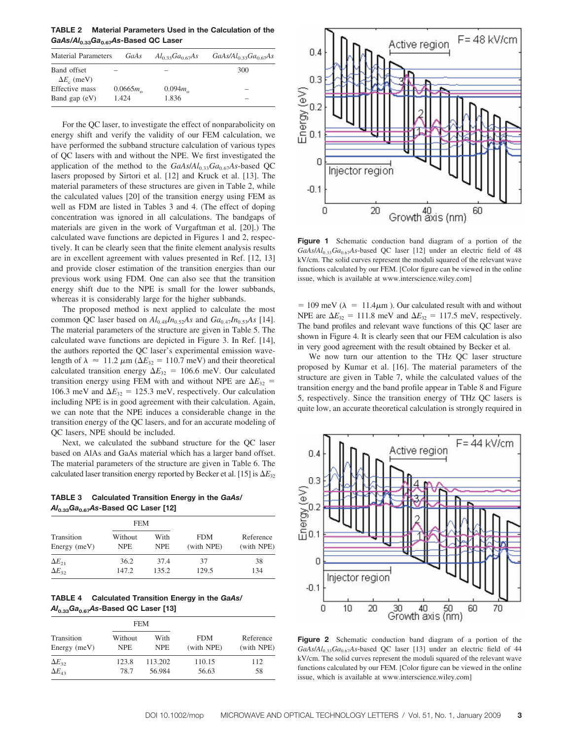**TABLE 2 Material Parameters Used in the Calculation of the** *GaAs/Al***0.33***Ga***0.67***As***-Based QC Laser**

| <b>Material Parameters</b>              | GaAs                       | $Al_{0,33}Ga_{0,67}As$    | $GaAs/Al_{0,33}Ga_{0,67}As$ |
|-----------------------------------------|----------------------------|---------------------------|-----------------------------|
| Band offset<br>$\Delta E_{\rm o}$ (meV) |                            |                           | 300                         |
| Effective mass<br>Band gap $(eV)$       | $0.0665m_{\odot}$<br>1.424 | $0.094m_{\odot}$<br>1.836 | -                           |

For the QC laser, to investigate the effect of nonparabolicity on energy shift and verify the validity of our FEM calculation, we have performed the subband structure calculation of various types of QC lasers with and without the NPE. We first investigated the application of the method to the *GaAs*/ $Al_{0.33}Ga_{0.67}As$ -based QC lasers proposed by Sirtori et al. [12] and Kruck et al. [13]. The material parameters of these structures are given in Table 2, while the calculated values [20] of the transition energy using FEM as well as FDM are listed in Tables 3 and 4. (The effect of doping concentration was ignored in all calculations. The bandgaps of materials are given in the work of Vurgaftman et al. [20].) The calculated wave functions are depicted in Figures 1 and 2, respectively. It can be clearly seen that the finite element analysis results are in excellent agreement with values presented in Ref. [12, 13] and provide closer estimation of the transition energies than our previous work using FDM. One can also see that the transition energy shift due to the NPE is small for the lower subbands, whereas it is considerably large for the higher subbands.

The proposed method is next applied to calculate the most common QC laser based on  $Al_{0.48}In_{0.52}As$  and  $Ga_{0.47}In_{0.53}As$  [14]. The material parameters of the structure are given in Table 5. The calculated wave functions are depicted in Figure 3. In Ref. [14], the authors reported the QC laser's experimental emission wavelength of  $\lambda \approx 11.2 \ \mu \text{m} \ (\Delta E_{32} = 110.7 \ \text{meV})$  and their theoretical calculated transition energy  $\Delta E_{32} = 106.6$  meV. Our calculated transition energy using FEM with and without NPE are  $\Delta E_{32}$ 106.3 meV and  $\Delta E_{32} = 125.3$  meV, respectively. Our calculation including NPE is in good agreement with their calculation. Again, we can note that the NPE induces a considerable change in the transition energy of the QC lasers, and for an accurate modeling of QC lasers, NPE should be included.

Next, we calculated the subband structure for the QC laser based on AlAs and GaAs material which has a larger band offset. The material parameters of the structure are given in Table 6. The calculated laser transition energy reported by Becker et al. [15] is  $\Delta E_{32}$ 

**TABLE 3 Calculated Transition Energy in the** *GaAs***/** *Al***0.33***Ga***0.67***As***-Based QC Laser [12]**

|                 | <b>FEM</b> |            |            |            |
|-----------------|------------|------------|------------|------------|
| Transition      | Without    | With       | <b>FDM</b> | Reference  |
| Energy $(meV)$  | <b>NPE</b> | <b>NPE</b> | (with NPE) | (with NPE) |
| $\Delta E_{21}$ | 36.2       | 37.4       | 37         | 38         |
| $\Delta E_{32}$ | 147.2      | 135.2      | 129.5      | 134        |

**TABLE 4 Calculated Transition Energy in the** *GaAs***/** *Al***0.33***Ga***0.67***As***-Based QC Laser [13]**

|                 |            | <b>FEM</b> |            |            |  |
|-----------------|------------|------------|------------|------------|--|
| Transition      | Without    | With       | <b>FDM</b> | Reference  |  |
| Energy $(meV)$  | <b>NPE</b> | <b>NPE</b> | (with NPE) | (with NPE) |  |
| $\Delta E_{32}$ | 123.8      | 113.202    | 110.15     | 112        |  |
| $\Delta E_{43}$ | 78.7       | 56.984     | 56.63      | 58         |  |



**Figure 1** Schematic conduction band diagram of a portion of the *GaAs*/*Al*0.33*Ga*0.67*As*-based QC laser [12] under an electric field of 48 kV/cm. The solid curves represent the moduli squared of the relevant wave functions calculated by our FEM. [Color figure can be viewed in the online issue, which is available at www.interscience.wiley.com]

 $= 109$  meV ( $\lambda = 11.4 \mu$ m). Our calculated result with and without NPE are  $\Delta E_{32} = 111.8$  meV and  $\Delta E_{32} = 117.5$  meV, respectively. The band profiles and relevant wave functions of this QC laser are shown in Figure 4. It is clearly seen that our FEM calculation is also in very good agreement with the result obtained by Becker et al.

We now turn our attention to the THz QC laser structure proposed by Kumar et al. [16]. The material parameters of the structure are given in Table 7, while the calculated values of the transition energy and the band profile appear in Table 8 and Figure 5, respectively. Since the transition energy of THz QC lasers is quite low, an accurate theoretical calculation is strongly required in



**Figure 2** Schematic conduction band diagram of a portion of the *GaAs*/*Al*0.33*Ga*0.67*As*-based QC laser [13] under an electric field of 44 kV/cm. The solid curves represent the moduli squared of the relevant wave functions calculated by our FEM. [Color figure can be viewed in the online issue, which is available at www.interscience.wiley.com]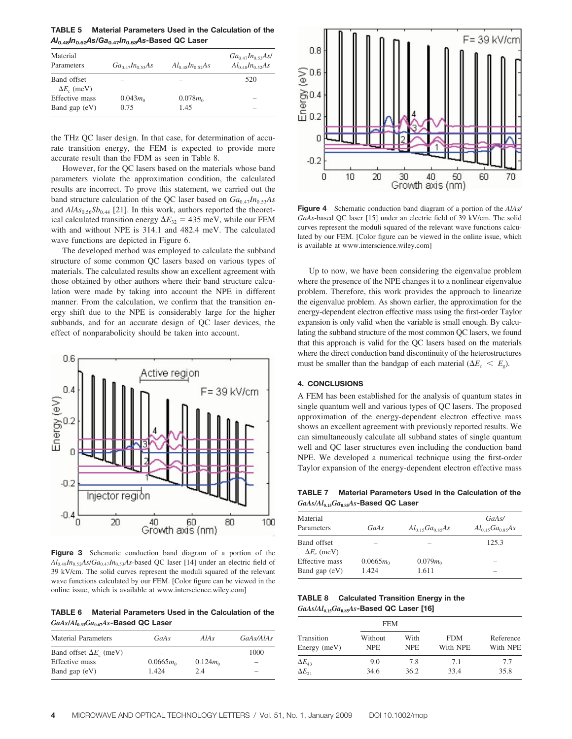**TABLE 5 Material Parameters Used in the Calculation of the** *Al***0.48***In***0.52***As***/***Ga***0.47***In***0.53***As***-Based QC Laser**

| Material<br>Parameters            | Ga <sub>0.47</sub> In <sub>0.53</sub> As | $Al_0 \triangleleft sIn_0 \triangleleft sAs$ | $Ga_{0.47}In_{0.53}As$<br>$Al_{0.48}In_{0.52}As$ |
|-----------------------------------|------------------------------------------|----------------------------------------------|--------------------------------------------------|
| Band offset<br>$\Delta E_c$ (meV) |                                          |                                              | 520                                              |
| Effective mass                    | $0.043m_0$                               | $0.078m_0$                                   |                                                  |
| Band gap $(eV)$                   | 0.75                                     | 1.45                                         |                                                  |

the THz QC laser design. In that case, for determination of accurate transition energy, the FEM is expected to provide more accurate result than the FDM as seen in Table 8.

However, for the QC lasers based on the materials whose band parameters violate the approximation condition, the calculated results are incorrect. To prove this statement, we carried out the band structure calculation of the QC laser based on  $Ga_{0.47}In_{0.53}As$ and  $AIAs_{0.56}Sb_{0.44}$  [21]. In this work, authors reported the theoretical calculated transition energy  $\Delta E_{32} = 435$  meV, while our FEM with and without NPE is 314.1 and 482.4 meV. The calculated wave functions are depicted in Figure 6.

The developed method was employed to calculate the subband structure of some common QC lasers based on various types of materials. The calculated results show an excellent agreement with those obtained by other authors where their band structure calculation were made by taking into account the NPE in different manner. From the calculation, we confirm that the transition energy shift due to the NPE is considerably large for the higher subbands, and for an accurate design of QC laser devices, the effect of nonparabolicity should be taken into account.



**Figure 3** Schematic conduction band diagram of a portion of the *Al*0.48*In*0.52*As*/*Ga*0.47*In*0.53*As*-based QC laser [14] under an electric field of 39 kV/cm. The solid curves represent the moduli squared of the relevant wave functions calculated by our FEM. [Color figure can be viewed in the online issue, which is available at www.interscience.wiley.com]

**TABLE 6 Material Parameters Used in the Calculation of the** *GaAs***/***Al***0.33***Ga***0.67***As***-Based QC Laser**

| <b>Material Parameters</b>     | GaAs        | AIAs        | GaAs/AlAs |
|--------------------------------|-------------|-------------|-----------|
| Band offset $\Delta E_c$ (meV) |             |             | 1000      |
| Effective mass                 | $0.0665m_0$ | $0.124 m_0$ |           |
| Band gap $(eV)$                | 1.424       | 2.4         | -         |



**Figure 4** Schematic conduction band diagram of a portion of the *AlAs/ GaAs*-based QC laser [15] under an electric field of 39 kV/cm. The solid curves represent the moduli squared of the relevant wave functions calculated by our FEM. [Color figure can be viewed in the online issue, which is available at www.interscience.wiley.com]

Up to now, we have been considering the eigenvalue problem where the presence of the NPE changes it to a nonlinear eigenvalue problem. Therefore, this work provides the approach to linearize the eigenvalue problem. As shown earlier, the approximation for the energy-dependent electron effective mass using the first-order Taylor expansion is only valid when the variable is small enough. By calculating the subband structure of the most common QC lasers, we found that this approach is valid for the QC lasers based on the materials where the direct conduction band discontinuity of the heterostructures must be smaller than the bandgap of each material  $(\Delta E_c \leq E_g)$ .

## **4. CONCLUSIONS**

A FEM has been established for the analysis of quantum states in single quantum well and various types of QC lasers. The proposed approximation of the energy-dependent electron effective mass shows an excellent agreement with previously reported results. We can simultaneously calculate all subband states of single quantum well and QC laser structures even including the conduction band NPE. We developed a numerical technique using the first-order Taylor expansion of the energy-dependent electron effective mass

**TABLE 7 Material Parameters Used in the Calculation of the** *GaAs/Al***0.15***Ga***0.85***As***-Based QC Laser**

| Material<br>Parameters            | GaAs        | $Al_{0.15}Ga_{0.85}As$ | GaAs/<br>$Al_{0.15}Ga_{0.85}As$ |
|-----------------------------------|-------------|------------------------|---------------------------------|
| Band offset<br>$\Delta E_c$ (meV) |             |                        | 125.3                           |
| Effective mass                    | $0.0665m_0$ | $0.079m_0$             |                                 |
| Band gap $(eV)$                   | 1.424       | 1.611                  |                                 |

**TABLE 8 Calculated Transition Energy in the** *GaAs***/***Al***0.15***Ga***0.85***As***-Based QC Laser [16]**

| Transition<br>Energy $(meV)$       |                       | <b>FEM</b>         |                        |                       |
|------------------------------------|-----------------------|--------------------|------------------------|-----------------------|
|                                    | Without<br><b>NPE</b> | With<br><b>NPE</b> | <b>FDM</b><br>With NPE | Reference<br>With NPE |
| $\Delta E_{43}$<br>$\Delta E_{21}$ | 9.0<br>34.6           | 7.8<br>36.2        | 7.1<br>33.4            | 7.7<br>35.8           |